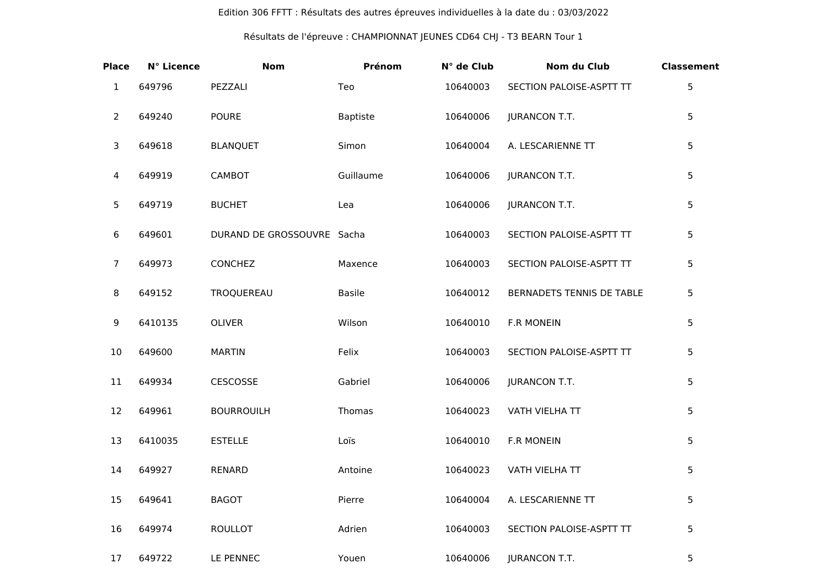## Edition 306 FFTT : Résultats des autres épreuves individuelles à la date du : 03/03/2022

## Résultats de l'épreuve : CHAMPIONNAT JEUNES CD64 CHJ - T3 BEARN Tour 1

| <b>Place</b>   | N° Licence | <b>Nom</b>                 | Prénom          | N° de Club | <b>Nom du Club</b>        | <b>Classement</b> |
|----------------|------------|----------------------------|-----------------|------------|---------------------------|-------------------|
| $\mathbf{1}$   | 649796     | PEZZALI                    | Teo             | 10640003   | SECTION PALOISE-ASPTT TT  | 5                 |
| 2              | 649240     | <b>POURE</b>               | <b>Baptiste</b> | 10640006   | <b>JURANCON T.T.</b>      | 5                 |
| 3              | 649618     | <b>BLANQUET</b>            | Simon           | 10640004   | A. LESCARIENNE TT         | 5                 |
| 4              | 649919     | CAMBOT                     | Guillaume       | 10640006   | <b>JURANCON T.T.</b>      | 5                 |
| 5              | 649719     | <b>BUCHET</b>              | Lea             | 10640006   | <b>JURANCON T.T.</b>      | 5                 |
| 6              | 649601     | DURAND DE GROSSOUVRE Sacha |                 | 10640003   | SECTION PALOISE-ASPTT TT  | 5                 |
| $\overline{7}$ | 649973     | <b>CONCHEZ</b>             | Maxence         | 10640003   | SECTION PALOISE-ASPTT TT  | 5                 |
| 8              | 649152     | TROQUEREAU                 | <b>Basile</b>   | 10640012   | BERNADETS TENNIS DE TABLE | 5                 |
| 9              | 6410135    | <b>OLIVER</b>              | Wilson          | 10640010   | <b>F.R MONEIN</b>         | 5                 |
| 10             | 649600     | <b>MARTIN</b>              | Felix           | 10640003   | SECTION PALOISE-ASPTT TT  | 5                 |
| 11             | 649934     | CESCOSSE                   | Gabriel         | 10640006   | <b>JURANCON T.T.</b>      | 5                 |
| 12             | 649961     | <b>BOURROUILH</b>          | Thomas          | 10640023   | VATH VIELHA TT            | 5                 |
| 13             | 6410035    | <b>ESTELLE</b>             | Loïs            | 10640010   | <b>F.R MONEIN</b>         | 5                 |
| 14             | 649927     | <b>RENARD</b>              | Antoine         | 10640023   | VATH VIELHA TT            | 5                 |
| 15             | 649641     | <b>BAGOT</b>               | Pierre          | 10640004   | A. LESCARIENNE TT         | 5                 |
| 16             | 649974     | <b>ROULLOT</b>             | Adrien          | 10640003   | SECTION PALOISE-ASPTT TT  | 5                 |
| 17             | 649722     | LE PENNEC                  | Youen           | 10640006   | <b>JURANCON T.T.</b>      | 5                 |